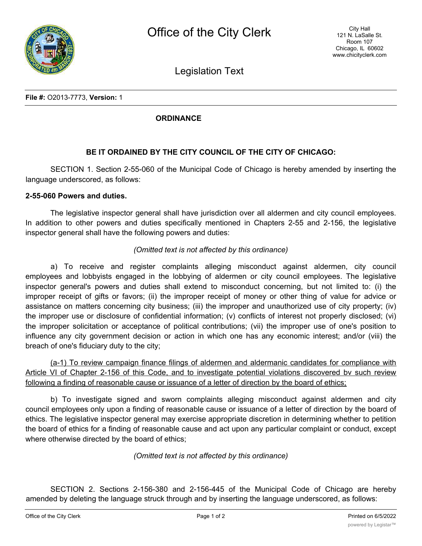

Legislation Text

#### **File #:** O2013-7773, **Version:** 1

## **ORDINANCE**

# **BE IT ORDAINED BY THE CITY COUNCIL OF THE CITY OF CHICAGO:**

SECTION 1. Section 2-55-060 of the Municipal Code of Chicago is hereby amended by inserting the language underscored, as follows:

### **2-55-060 Powers and duties.**

The legislative inspector general shall have jurisdiction over all aldermen and city council employees. In addition to other powers and duties specifically mentioned in Chapters 2-55 and 2-156, the legislative inspector general shall have the following powers and duties:

### *(Omitted text is not affected by this ordinance)*

a) To receive and register complaints alleging misconduct against aldermen, city council employees and lobbyists engaged in the lobbying of aldermen or city council employees. The legislative inspector general's powers and duties shall extend to misconduct concerning, but not limited to: (i) the improper receipt of gifts or favors; (ii) the improper receipt of money or other thing of value for advice or assistance on matters concerning city business; (iii) the improper and unauthorized use of city property; (iv) the improper use or disclosure of confidential information; (v) conflicts of interest not properly disclosed; (vi) the improper solicitation or acceptance of political contributions; (vii) the improper use of one's position to influence any city government decision or action in which one has any economic interest; and/or (viii) the breach of one's fiduciary duty to the city;

(a-1) To review campaign finance filings of aldermen and aldermanic candidates for compliance with Article VI of Chapter 2-156 of this Code, and to investigate potential violations discovered bv such review following a finding of reasonable cause or issuance of a letter of direction by the board of ethics;

b) To investigate signed and sworn complaints alleging misconduct against aldermen and city council employees only upon a finding of reasonable cause or issuance of a letter of direction by the board of ethics. The legislative inspector general may exercise appropriate discretion in determining whether to petition the board of ethics for a finding of reasonable cause and act upon any particular complaint or conduct, except where otherwise directed by the board of ethics;

# *(Omitted text is not affected by this ordinance)*

SECTION 2. Sections 2-156-380 and 2-156-445 of the Municipal Code of Chicago are hereby amended by deleting the language struck through and by inserting the language underscored, as follows: